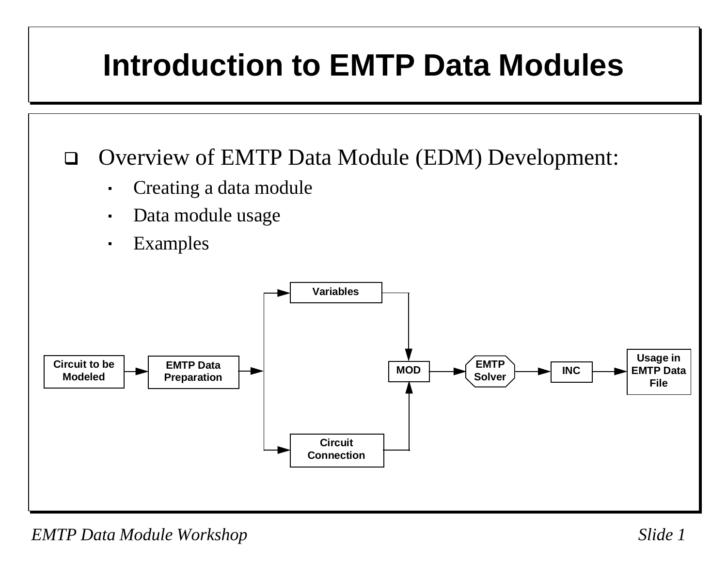## **Introduction to EMTP Data Modules**

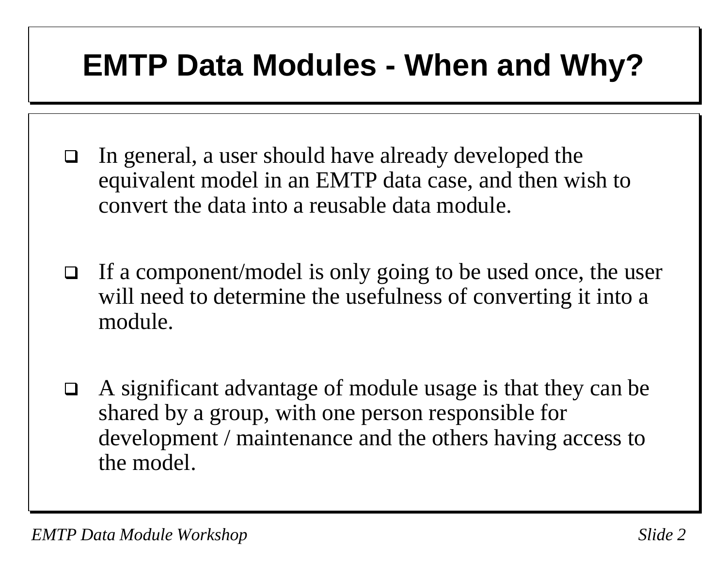#### **EMTP Data Modules - When and Why?**

- □ In general, a user should have already developed the equivalent model in an EMTP data case, and then wish to convert the data into a reusable data module.
- $\Box$  If a component/model is only going to be used once, the user will need to determine the usefulness of converting it into a module.
- $\Box$  A significant advantage of module usage is that they can be shared by a group, with one person responsible for development / maintenance and the others having access to the model.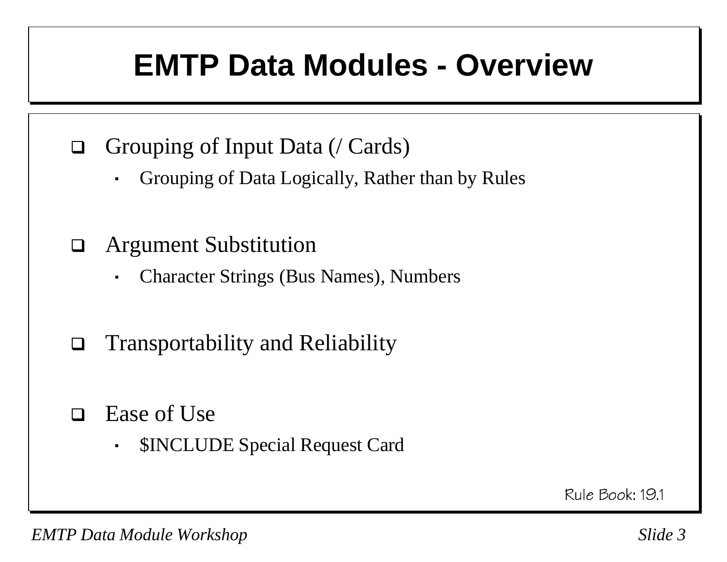#### **EMTP Data Modules - Overview**

- $\Box$  Grouping of Input Data (/ Cards)
	- $\blacksquare$ Grouping of Data Logically, Rather than by Rules
- $\Box$  Argument Substitution
	- $\blacksquare$ Character Strings (Bus Names), Numbers
- $\Box$ Transportability and Reliability
- $\Box$  Ease of Use
	- $\blacksquare$ \$INCLUDE Special Request Card

Rule Book: 19.1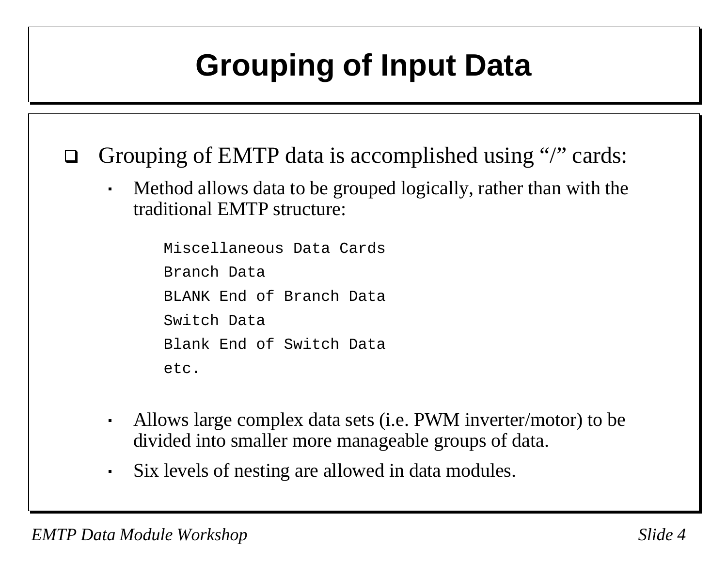# **Grouping of Input Data**

- $\Box$ Grouping of EMTP data is accomplished using "/" cards:
	- Method allows data to be grouped logically, rather than with the traditional EMTP structure:

Miscellaneous Data CardsBranch DataBLANK End of Branch DataSwitch DataBlank End of Switch Dataetc.

- Allows large complex data sets (i.e. PWM inverter/motor) to be divided into smaller more manageable groups of data.
- Six levels of nesting are allowed in data modules.

 $\blacksquare$ 

 $\blacksquare$ 

 $\blacksquare$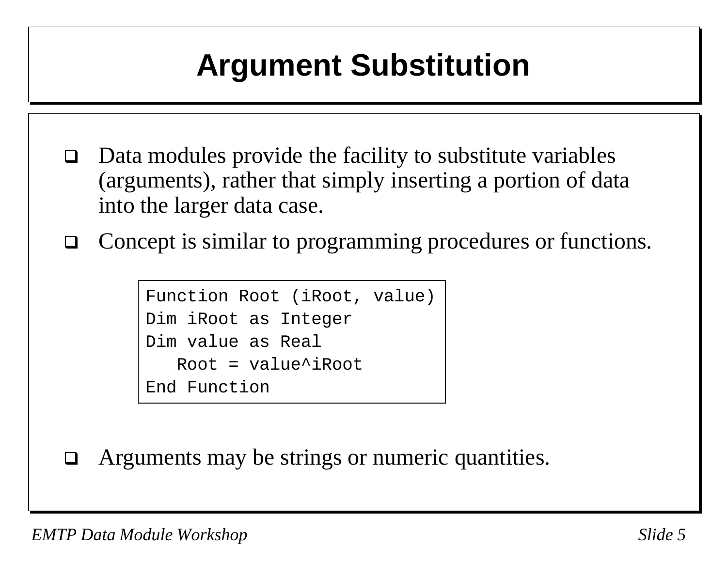# **Argument Substitution**

- $\Box$  Data modules provide the facility to substitute variables (arguments), rather that simply inserting a portion of data into the larger data case.
- $\Box$ Concept is similar to programming procedures or functions.

```
Function Root (iRoot, value)
Dim iRoot as Integer
Dim value as RealRoot = value^{\lambda}iRootEnd Function
```
 $\Box$ Arguments may be strings or numeric quantities.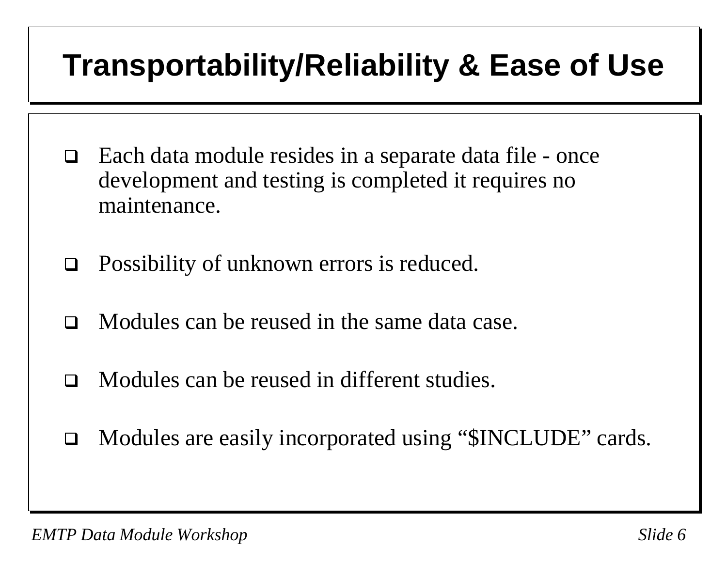## **Transportability/Reliability & Ease of Use**

- Each data module resides in a separate data file once development and testing is completed it requires no maintenance.
- $\Box$ Possibility of unknown errors is reduced.
- $\Box$ Modules can be reused in the same data case.
- $\Box$ Modules can be reused in different studies.
- $\Box$ Modules are easily incorporated using "\$INCLUDE" cards.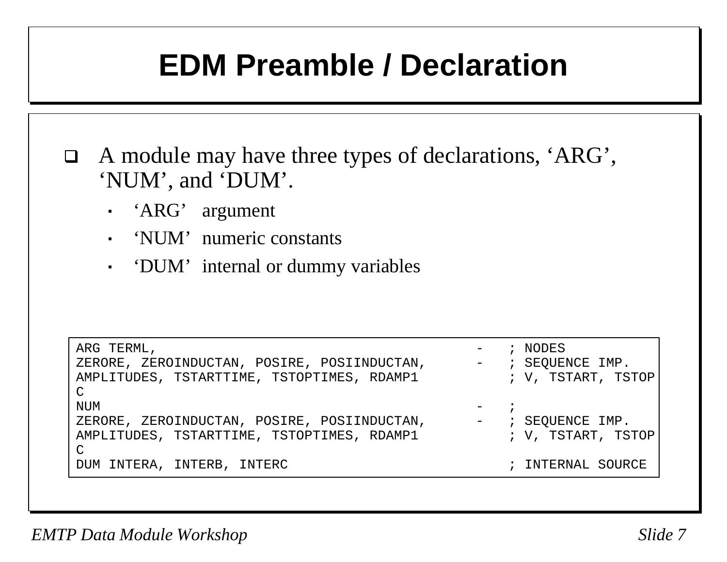#### **EDM Preamble / Declaration**

 A module may have three types of declarations, 'ARG', 'NUM', and 'DUM'.

- $\blacksquare$ 'ARG' argumen<sup>t</sup>
- $\mathbf{u}$  . 'NUM' numeric constants
- 'DUM' internal or dummy variables

| ARG TERML,<br>ZERORE, ZEROINDUCTAN, POSIRE, POSIINDUCTAN,<br>AMPLITUDES, TSTARTTIME, TSTOPTIMES, RDAMP1    | - ; NODES<br>- : SEQUENCE IMP.<br>; V, TSTART, TSTOP |
|------------------------------------------------------------------------------------------------------------|------------------------------------------------------|
| $\mathsf{C}$<br><b>NUM</b>                                                                                 | $-$ ;                                                |
| ZERORE, ZEROINDUCTAN, POSIRE, POSIINDUCTAN,<br>AMPLITUDES, TSTARTTIME, TSTOPTIMES, RDAMP1<br>$\mathcal{C}$ | $-$ ; SEQUENCE IMP.<br>; V, TSTART, TSTOP            |
| DUM INTERA, INTERB, INTERC                                                                                 | ; INTERNAL SOURCE                                    |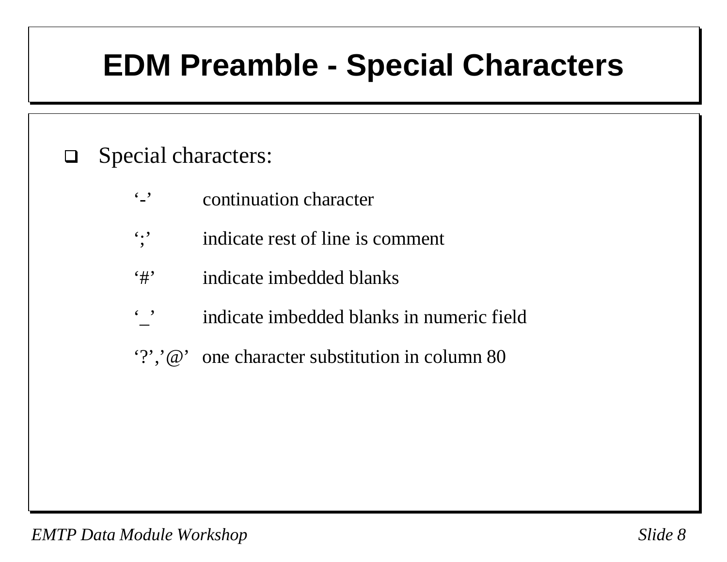## **EDM Preamble - Special Characters**

#### $\Box$ Special characters:

- $\cdot$  , continuation character
- ';' indicate rest of line is comment
- '#' indicate imbedded blanks
- '\_' indicate imbedded blanks in numeric field
- '?','@' one character substitution in column 80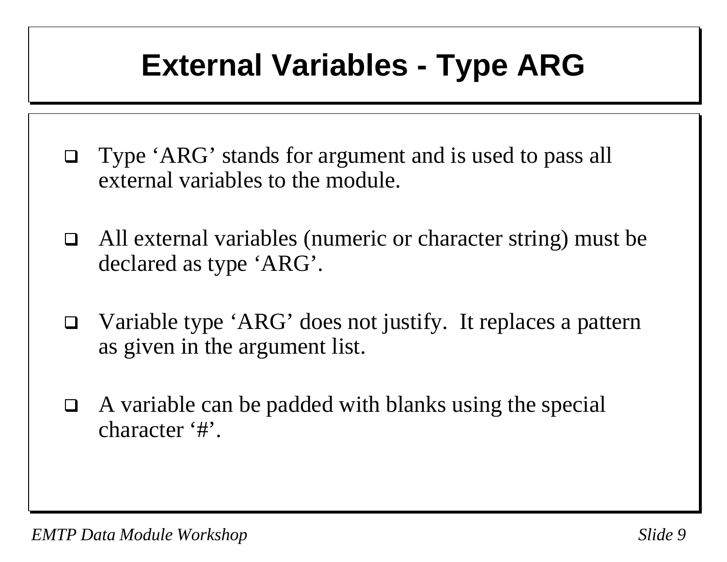## **External Variables - Type ARG**

- $\Box$  Type 'ARG' stands for argument and is used to pass all external variables to the module.
- $\Box$  All external variables (numeric or character string) must be declared as type 'ARG'.
- $\Box$  Variable type 'ARG' does not justify. It replaces a pattern as given in the argument list.
- $\Box$  A variable can be padded with blanks using the special character '#'.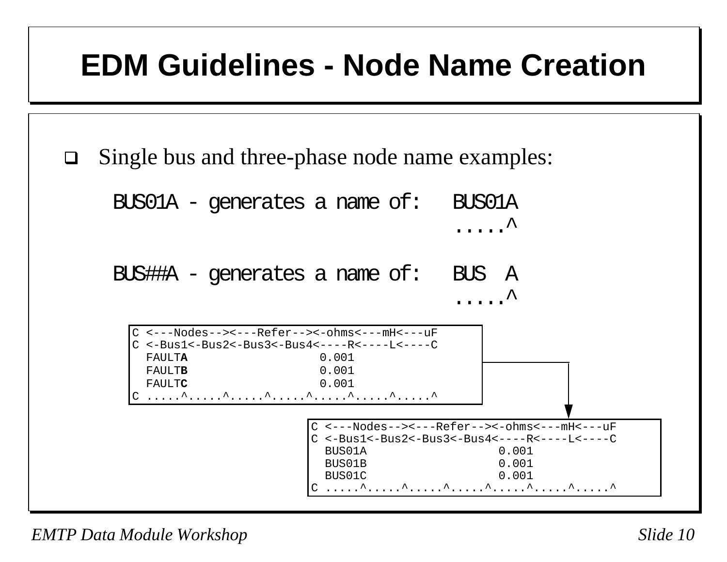#### **EDM Guidelines - Node Name Creation**

Single bus and three-phase node name examples:

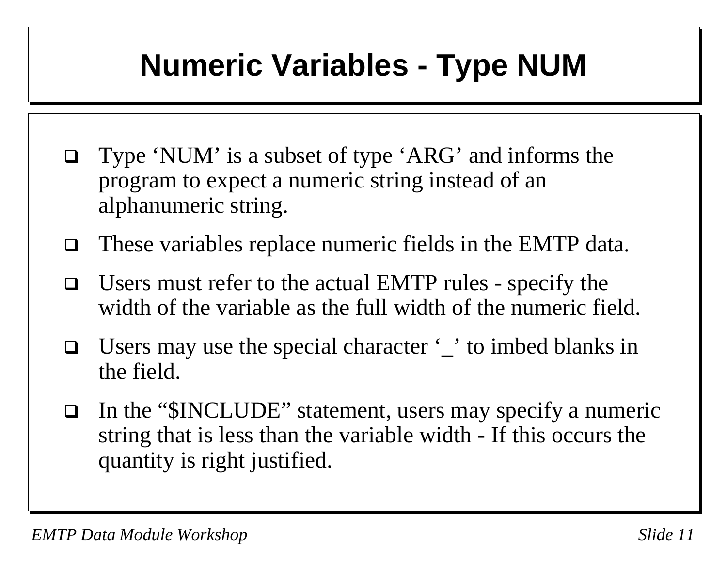### **Numeric Variables - Type NUM**

- Type 'NUM' is a subset of type 'ARG' and informs the program to expect a numeric string instead of an alphanumeric string.
- $\Box$ These variables replace numeric fields in the EMTP data.
- $\Box$  Users must refer to the actual EMTP rules - specify the width of the variable as the full width of the numeric field.
- $\Box$ Users may use the special character '\_' to imbed blanks in the field.
- $\Box$ In the "\$INCLUDE" statement, users may specify a numeric string that is less than the variable width - If this occurs the quantity is right justified.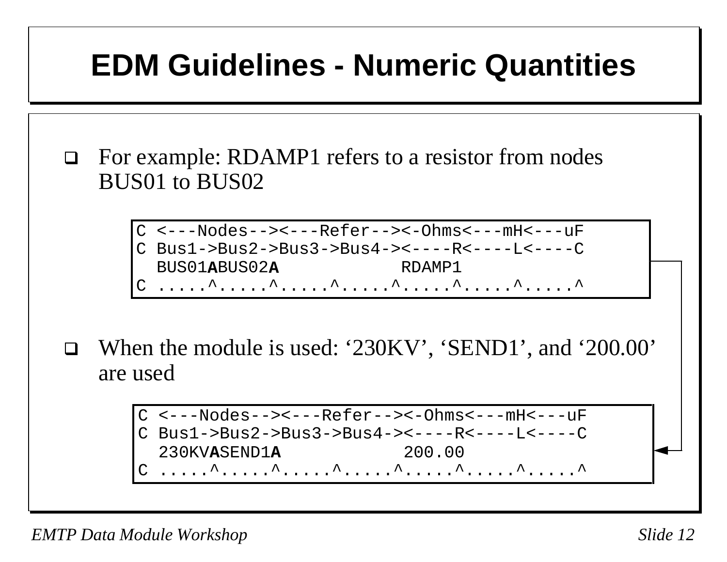### **EDM Guidelines - Numeric Quantities**

- $\Box$  For example: RDAMP1 refers to a resistor from nodes BUS01 to BUS02
	- C <---Nodes--><---Refer--><-Ohms<---mH<---uFC Bus1->Bus2->Bus3->Bus4-><----R<----L<----C BUS01**A**BUS02**A** RDAMP1C .....^.....^.....^.....^.....^.....^.....^
- $\Box$  When the module is used: '230KV', 'SEND1', and '200.00' are used

C <---Nodes--><---Refer--><-Ohms<---mH<---uFC Bus1->Bus2->Bus3->Bus4-><----R<----L<----C 230KV**A**SEND1**A** 200.00C .....^.....^.....^.....^.....^.....^.....^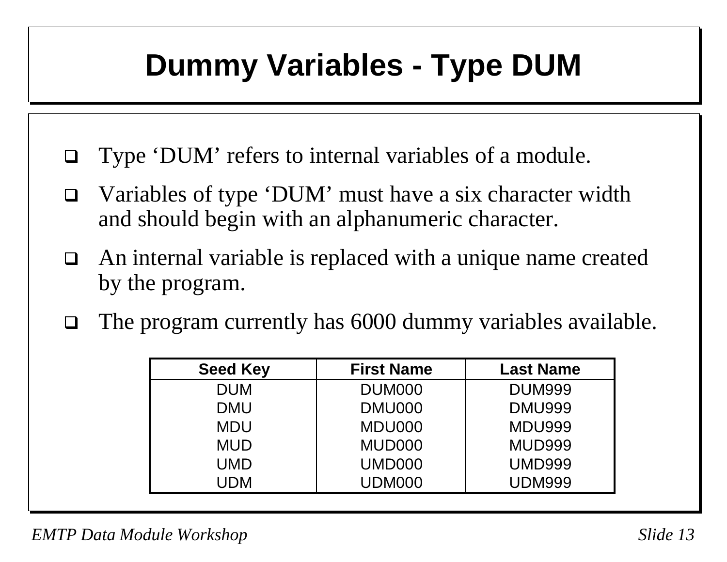## **Dummy Variables - Type DUM**

- $\Box$ Type 'DUM' refers to internal variables of a module.
- $\Box$  Variables of type 'DUM' must have a six character width and should begin with an alphanumeric character.
- $\Box$  An internal variable is replaced with a unique name created by the program.
- $\Box$ The program currently has 6000 dummy variables available.

| <b>Seed Key</b> | <b>First Name</b>  | <b>Last Name</b> |
|-----------------|--------------------|------------------|
| <b>DUM</b>      | DUM <sub>000</sub> | <b>DUM999</b>    |
| <b>DMU</b>      | DMU000             | <b>DMU999</b>    |
| <b>MDU</b>      | MDU000             | <b>MDU999</b>    |
| <b>MUD</b>      | MUD000             | <b>MUD999</b>    |
| UMD             | <b>UMD000</b>      | <b>UMD999</b>    |
| UDM             | <b>UDM000</b>      | UDM999           |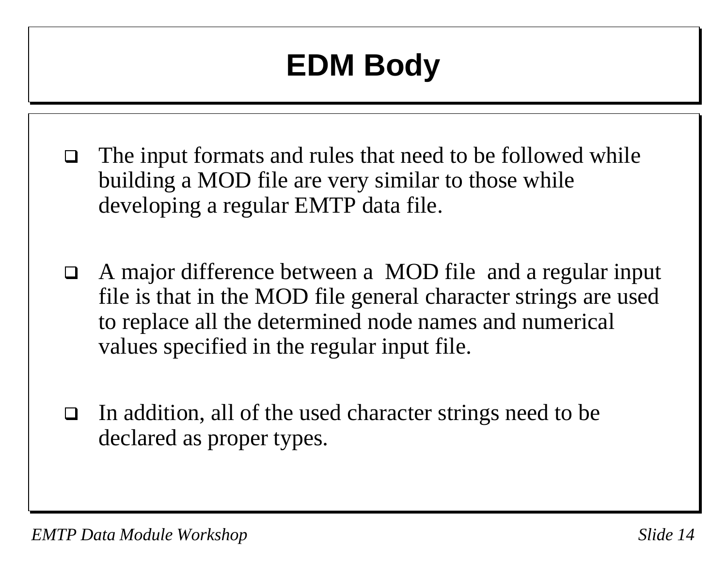# **EDM Body**

- The input formats and rules that need to be followed while building a MOD file are very similar to those while developing a regular EMTP data file.
- $\Box$  A major difference between a MOD file and a regular input file is that in the MOD file general character strings are used to replace all the determined node names and numerical values specified in the regular input file.
- $\Box$  In addition, all of the used character strings need to be declared as proper types.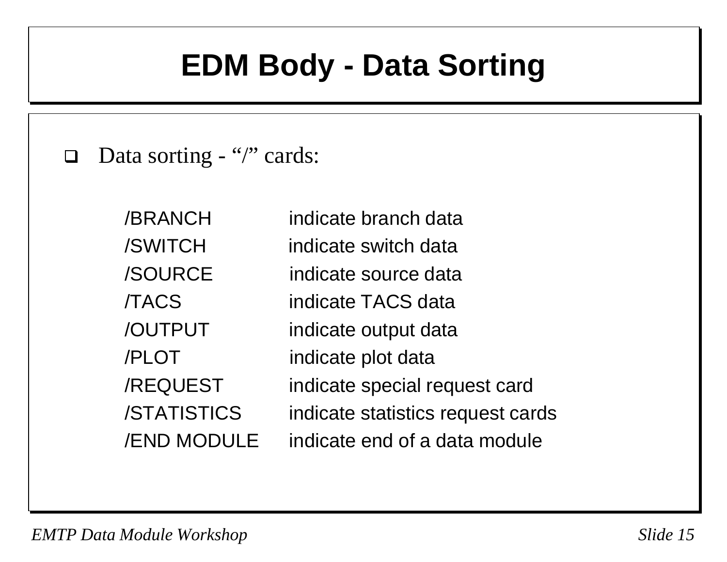#### **EDM Body - Data Sorting**

 $\Box$ Data sorting - "/" cards:

> /BRANCH indicate branch data/SWITCH indicate switch data/SOURCE indicate source data/TACS indicate TACS data/OUTPUT indicate output data /PLOT indicate plot data /REQUEST indicate special request card /STATISTICS indicate statistics request cards /END MODULE indicate end of a data module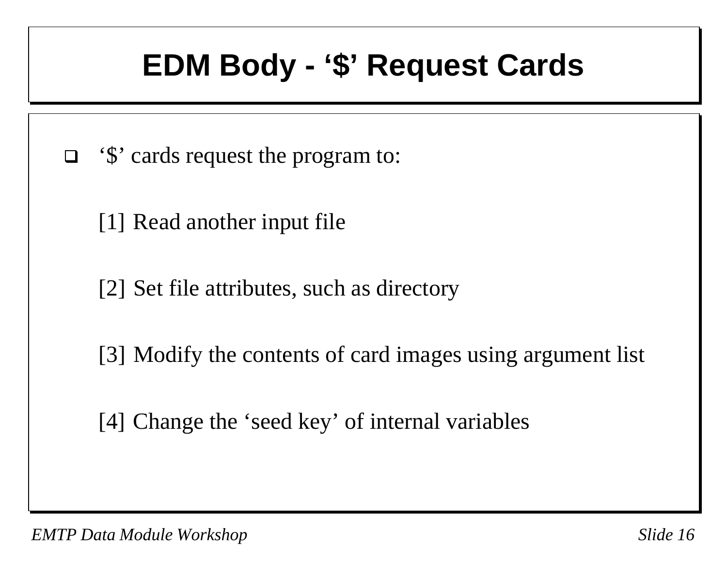#### **EDM Body - '\$' Request Cards**

- □ '\$' cards request the program to:
	- [1] Read another input file
	- [2] Set file attributes, such as directory
	- [3] Modify the contents of card images using argument list
	- [4] Change the 'seed key' of internal variables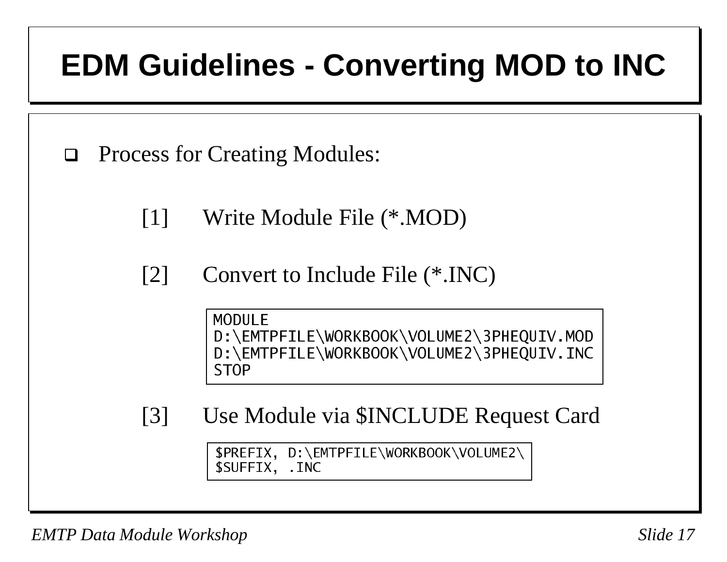## **EDM Guidelines - Converting MOD to INC**

 $\Box$ Process for Creating Modules:

[1] Write Module File (\*.MOD)

[2] Convert to Include File (\*.INC)

MODULE D:\EMTPFILE\WORKBOOK\VOLUME2\3PHEQUIV.MOD D:\EMTPFILE\WORKBOOK\VOLUME2\3PHEOUIV.INC ST<sub>O</sub>P

[3] Use Module via \$INCLUDE Request Card

\$PREFIX, D:\EMTPFILE\WORKBOOK\VOLUME2\ \$SUFFIX, .INC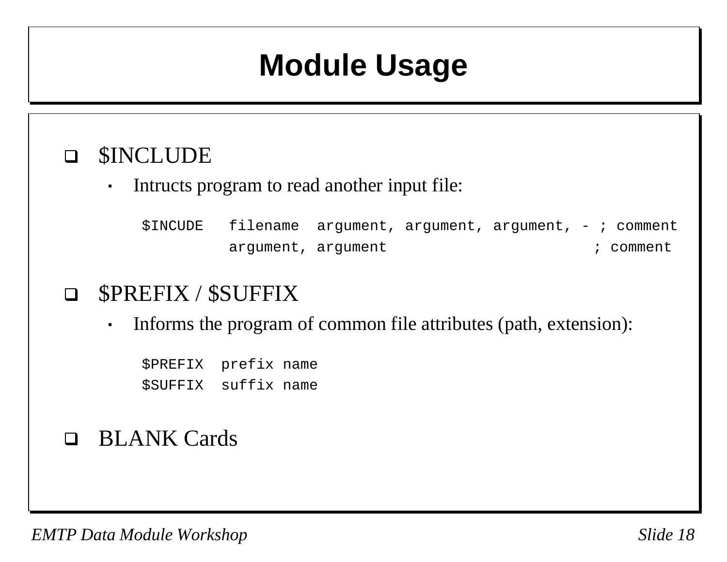#### **Module Usage**

#### \$INCLUDE

 $\blacksquare$ 

 $\blacksquare$ 

Intructs program to read another input file:

\$INCUDE filename argument, argument, argument, -; comment argument, argument  $\qquad$  i comment

#### $\Box$ \$PREFIX / \$SUFFIX

Informs the program of common file attributes (path, extension):

\$PREFIX prefix name \$SUFFIX suffix name

#### BLANK Cards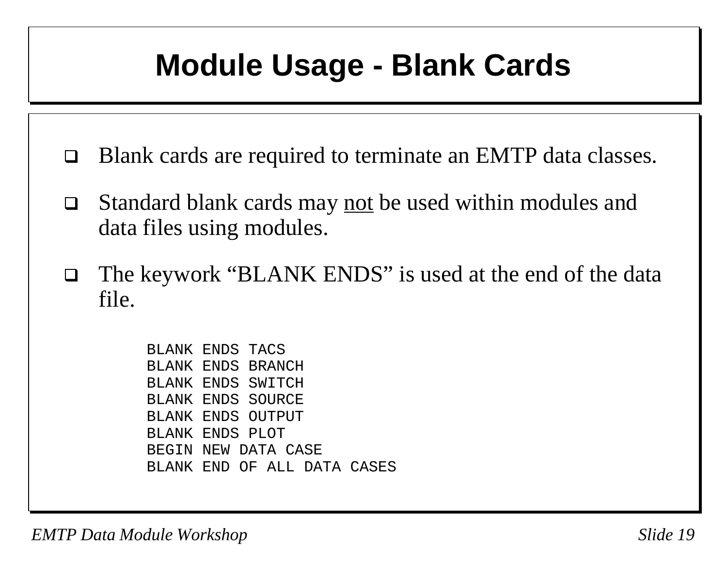#### **Module Usage - Blank Cards**

- □ Blank cards are required to terminate an EMTP data classes.
- $\Box$  Standard blank cards may not be used within modules and data files using modules.
- $\Box$  The keywork "BLANK ENDS" is used at the end of the data file.

BLANK ENDS TACSBLANK ENDS BRANCHBLANK ENDS SWITCHBLANK ENDS SOURCEBLANK ENDS OUTPUTBLANK ENDS PLOTBEGIN NEW DATA CASEBLANK END OF ALL DATA CASES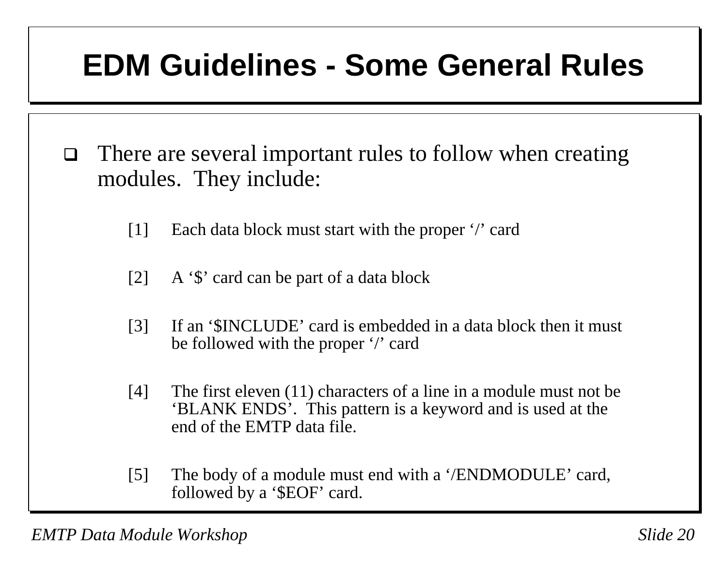## **EDM Guidelines - Some General Rules**

- $\Box$  There are several important rules to follow when creating modules. They include:
	- [1] Each data block must start with the proper '/' card
	- [2] A '\$' card can be part of a data block
	- [3] If an '\$INCLUDE' card is embedded in a data block then it must be followed with the proper '/' card
	- [4] The first eleven  $(11)$  characters of a line in a module must not be 'BLANK ENDS'. This pattern is a keyword and is used at the end of the EMTP data file.
	- [5] The body of a module must end with a '/ENDMODULE' card, followed by a '\$EOF' card.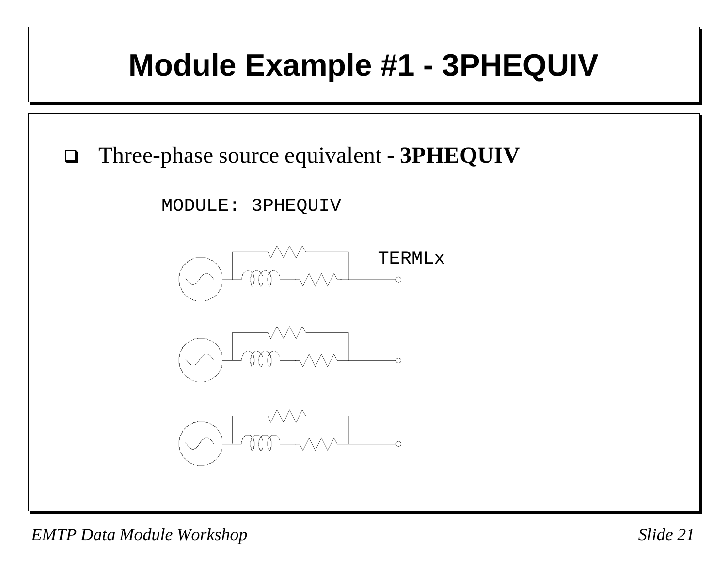# **Module Example #1 - 3PHEQUIV**  $\Box$  Three-phase source equivalent - **3PHEQUIV** MODULE: 3PHEQUIV TERMLx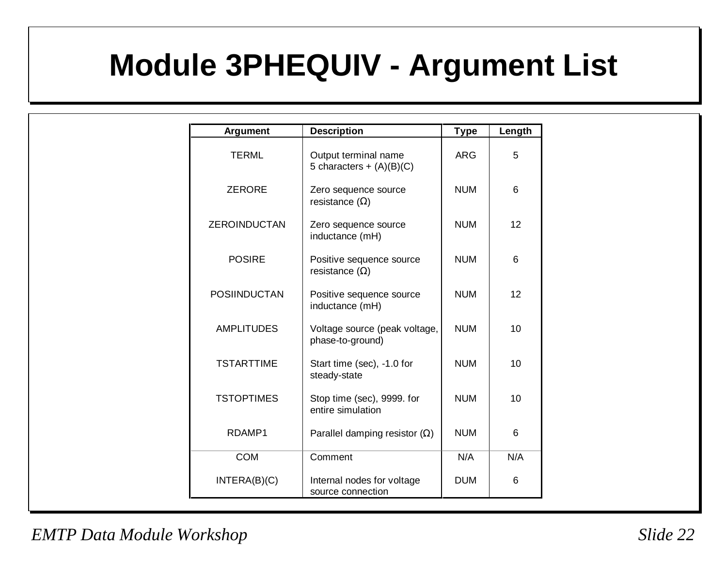## **Module 3PHEQUIV - Argument List**

| Argument            | <b>Description</b>                                 | <b>Type</b> | Length          |  |  |
|---------------------|----------------------------------------------------|-------------|-----------------|--|--|
| <b>TERML</b>        | Output terminal name<br>5 characters + $(A)(B)(C)$ | <b>ARG</b>  | 5               |  |  |
| <b>ZERORE</b>       | Zero sequence source<br>resistance $(\Omega)$      | <b>NUM</b>  | 6               |  |  |
| <b>ZEROINDUCTAN</b> | Zero sequence source<br>inductance (mH)            | <b>NUM</b>  | 12 <sup>2</sup> |  |  |
| <b>POSIRE</b>       | Positive sequence source<br>resistance $(\Omega)$  | <b>NUM</b>  | 6               |  |  |
| <b>POSIINDUCTAN</b> | Positive sequence source<br>inductance (mH)        | <b>NUM</b>  | 12 <sup>2</sup> |  |  |
| <b>AMPLITUDES</b>   | Voltage source (peak voltage,<br>phase-to-ground)  | <b>NUM</b>  | 10              |  |  |
| <b>TSTARTTIME</b>   | Start time (sec), -1.0 for<br>steady-state         | <b>NUM</b>  | 10              |  |  |
| <b>TSTOPTIMES</b>   | Stop time (sec), 9999. for<br>entire simulation    | <b>NUM</b>  | 10              |  |  |
| RDAMP1              | Parallel damping resistor $(\Omega)$               | <b>NUM</b>  | 6               |  |  |
| <b>COM</b>          | Comment                                            | N/A         | N/A             |  |  |
| INTERA(B)(C)        | Internal nodes for voltage<br>source connection    | <b>DUM</b>  | 6               |  |  |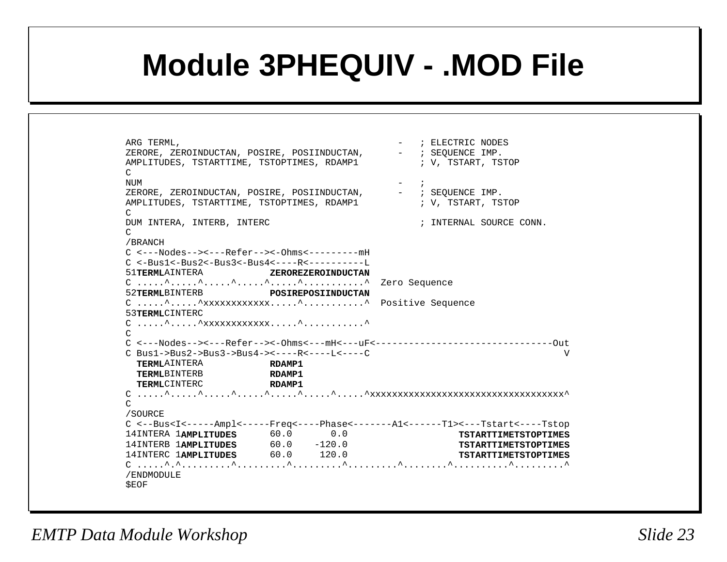#### **Module 3PHEQUIV - .MOD File**

ARG TERML,  $\qquad \qquad - \qquad ;$  ELECTRIC NODES ZERORE, ZEROINDUCTAN, POSIRE, POSIINDUCTAN, - ; SEQUENCE IMP. AMPLITUDES, TSTARTTIME, TSTOPTIMES, RDAMP1  $\qquad$  ; V, TSTART, TSTOP  $\mathcal{C}$ NUM  $-$  ; ZERORE, ZEROINDUCTAN, POSIRE, POSIINDUCTAN, - ; SEQUENCE IMP. AMPLITUDES, TSTARTTIME, TSTOPTIMES, RDAMP1  $\qquad$  ; V, TSTART, TSTOP  $\cap$ DUM INTERA, INTERB, INTERC  $\qquad \qquad ; \qquad \text{INTERAL}$  SOURCE CONN.  $\mathcal{C}$ /BRANCH C <---Nodes--><---Refer--><-Ohms<---------mHC <-Bus1<-Bus2<-Bus3<-Bus4<----R<----------L51**TERML**AINTERA **ZEROREZEROINDUCTAN**. . . . . .^ . . . . .^ . . . . .^ . . . . . . . ^ . . . . . . . . . . . ^ Zero Sequence 52**TERML**BINTERB **POSIREPOSIINDUCTAN**C .....^.....^xxxxxxxxxxxx.....^...........^ Positive Sequence 53**TERML**CINTERC  $C_1, \ldots,$ ^.....^ $\chi$ xxxxxxxxxxx.....^.............^ CC <---Nodes--><---Refer--><-Ohms<---mH<---uF<--------------------------------OutC Bus1->Bus2->Bus3->Bus4-><----R<----L<----C V**TERML**AINTERA **RDAMP1TERML**BINTERB **RDAMP1TERML**CINTERC **RDAMP1** C .....^.....^.....^.....^.....^.....^.....^xxxxxxxxxxxxxxxxxxxxxxxxxxxxxxxxxxx^ $\Gamma$ /SOURCE C <--Bus<I<-----Ampl<-----Freq<----Phase<-------A1<------T1><---Tstart<----Tstop 14INTERA 1**AMPLITUDES** 60.0 0.0 **TSTARTTIMETSTOPTIMES**14INTERB 1**AMPLITUDES** 60.0 -120.0 **TSTARTTIMETSTOPTIMES**14INTERC 1**AMPLITUDES** 60.0 120.0 **TSTARTTIMETSTOPTIMES** C .....^.^.........^.........^.........^.........^........^..........^.........^/ENDMODULE \$EOF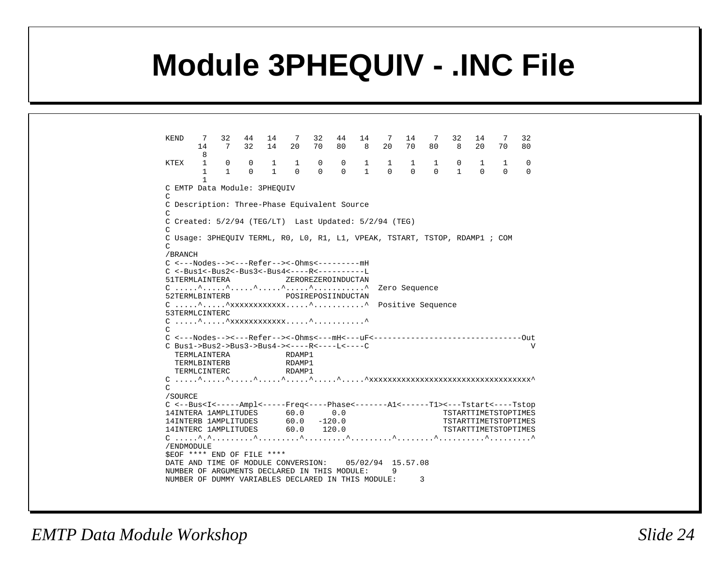#### **Module 3PHEQUIV - .INC File**

| KEND                                                                                                                                             | $\overline{7}$<br>14         | 32<br>7      | 44<br>32       | 14<br>14     | $\overline{7}$<br>20 | 32<br>70 | 44<br>80           | 14<br>- 8      | 7<br>20     | 14<br>70 | 7<br>80      | 32<br>8              | 14<br>$20^{\circ}$ | - 7<br>70 | 32<br>80 |
|--------------------------------------------------------------------------------------------------------------------------------------------------|------------------------------|--------------|----------------|--------------|----------------------|----------|--------------------|----------------|-------------|----------|--------------|----------------------|--------------------|-----------|----------|
| KTEX                                                                                                                                             | 8<br>1                       | 0            | $\overline{0}$ | $\mathbf{1}$ | $\overline{1}$       | 0        | $0 \qquad \qquad$  |                | $1 \quad 1$ | 1        | $\mathbf{1}$ | 0                    | $\mathbf{1}$       | 1         | $\Omega$ |
|                                                                                                                                                  | $\mathbf{1}$<br>$\mathbf{1}$ | $\mathbf{1}$ | $\Omega$       | $\mathbf{1}$ | $\overline{0}$       | $\Omega$ | $\Omega$           | $\overline{1}$ | $\bigcap$   | $\Omega$ | $\Omega$     | $\mathbf{1}$         | $\Omega$           | $\Omega$  | $\Omega$ |
| C EMTP Data Module: 3PHEOUIV<br>C                                                                                                                |                              |              |                |              |                      |          |                    |                |             |          |              |                      |                    |           |          |
| C Description: Three-Phase Equivalent Source                                                                                                     |                              |              |                |              |                      |          |                    |                |             |          |              |                      |                    |           |          |
| C                                                                                                                                                |                              |              |                |              |                      |          |                    |                |             |          |              |                      |                    |           |          |
| C Created: 5/2/94 (TEG/LT) Last Updated: 5/2/94 (TEG)                                                                                            |                              |              |                |              |                      |          |                    |                |             |          |              |                      |                    |           |          |
| C                                                                                                                                                |                              |              |                |              |                      |          |                    |                |             |          |              |                      |                    |           |          |
| C Usage: 3PHEQUIV TERML, R0, L0, R1, L1, VPEAK, TSTART, TSTOP, RDAMP1 ; COM                                                                      |                              |              |                |              |                      |          |                    |                |             |          |              |                      |                    |           |          |
| C<br>/BRANCH                                                                                                                                     |                              |              |                |              |                      |          |                    |                |             |          |              |                      |                    |           |          |
| C <---Nodes--><---Refer--><-0hms<---------mH                                                                                                     |                              |              |                |              |                      |          |                    |                |             |          |              |                      |                    |           |          |
| $C < -Bus1 < -Bus2 < -Bus3 < -Bus4 < - - - R < - - - - - - L$                                                                                    |                              |              |                |              |                      |          |                    |                |             |          |              |                      |                    |           |          |
| 51TERMLAINTERA                                                                                                                                   |                              |              |                |              |                      |          | ZEROREZEROINDUCTAN |                |             |          |              |                      |                    |           |          |
|                                                                                                                                                  |                              |              |                |              |                      |          |                    |                |             |          |              |                      |                    |           |          |
| 52TERMLBINTERB                                                                                                                                   |                              |              |                |              |                      |          | POSIREPOSIINDUCTAN |                |             |          |              |                      |                    |           |          |
|                                                                                                                                                  |                              |              |                |              |                      |          |                    |                |             |          |              |                      |                    |           |          |
| 53TERMLCINTERC                                                                                                                                   |                              |              |                |              |                      |          |                    |                |             |          |              |                      |                    |           |          |
| $C_1, \ldots, \hat{}', \ldots, \hat{}'$ xxxxxxxxxxxxx $\hat{}', \ldots, \ldots, \hat{}''$                                                        |                              |              |                |              |                      |          |                    |                |             |          |              |                      |                    |           |          |
| $\mathsf{C}$                                                                                                                                     |                              |              |                |              |                      |          |                    |                |             |          |              |                      |                    |           |          |
|                                                                                                                                                  |                              |              |                |              |                      |          |                    |                |             |          |              |                      |                    |           |          |
| C Bus1->Bus2->Bus3->Bus4-><----R<----L<----C                                                                                                     |                              |              |                |              |                      |          |                    |                |             |          |              |                      |                    |           | V        |
|                                                                                                                                                  | TERMLAINTERA                 |              |                |              | RDAMP1               |          |                    |                |             |          |              |                      |                    |           |          |
|                                                                                                                                                  | TERMLBINTERB                 |              |                |              | RDAMP1               |          |                    |                |             |          |              |                      |                    |           |          |
|                                                                                                                                                  | TERMLCINTERC                 |              |                |              | RDAMP1               |          |                    |                |             |          |              |                      |                    |           |          |
|                                                                                                                                                  |                              |              |                |              |                      |          |                    |                |             |          |              |                      |                    |           |          |
| C.                                                                                                                                               |                              |              |                |              |                      |          |                    |                |             |          |              |                      |                    |           |          |
| /SOURCE                                                                                                                                          |                              |              |                |              |                      |          |                    |                |             |          |              |                      |                    |           |          |
| C <--Bus <i<-----ampl<------freq<-----phase<-------al<------tl>&lt;---Tstart&lt;----Tstop</i<-----ampl<------freq<-----phase<-------al<------tl> |                              |              |                |              |                      |          |                    |                |             |          |              |                      |                    |           |          |
| 14INTERA 1AMPLITUDES 60.0 0.0                                                                                                                    |                              |              |                |              |                      |          |                    |                |             |          |              | TSTARTTIMETSTOPTIMES |                    |           |          |
| 14INTERB 1AMPLITUDES 60.0 -120.0                                                                                                                 |                              |              |                |              |                      |          |                    |                |             |          |              | TSTARTTIMETSTOPTIMES |                    |           |          |
| 14INTERC 1AMPLITUDES 60.0 120.0                                                                                                                  |                              |              |                |              |                      |          |                    |                |             |          |              | TSTARTTIMETSTOPTIMES |                    |           |          |
|                                                                                                                                                  |                              |              |                |              |                      |          |                    |                |             |          |              |                      |                    |           |          |
| /ENDMODULE                                                                                                                                       |                              |              |                |              |                      |          |                    |                |             |          |              |                      |                    |           |          |
| SEOF **** END OF FILE ****                                                                                                                       |                              |              |                |              |                      |          |                    |                |             |          |              |                      |                    |           |          |
| DATE AND TIME OF MODULE CONVERSION: 05/02/94 15.57.08                                                                                            |                              |              |                |              |                      |          |                    |                |             |          |              |                      |                    |           |          |
| NUMBER OF ARGUMENTS DECLARED IN THIS MODULE:                                                                                                     |                              |              |                |              |                      |          |                    |                | 9           |          |              |                      |                    |           |          |
| NUMBER OF DUMMY VARIABLES DECLARED IN THIS MODULE:                                                                                               |                              |              |                |              |                      |          |                    |                |             |          | 3            |                      |                    |           |          |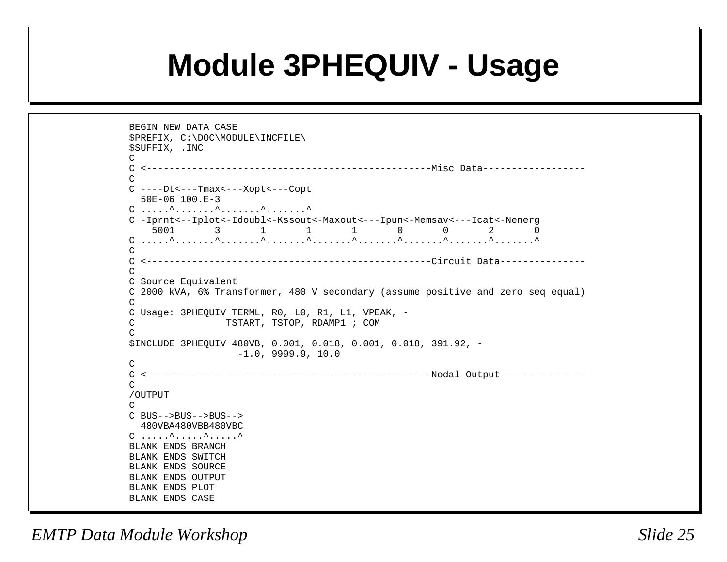#### **Module 3PHEQUIV - Usage**

```
BEGIN NEW DATA CASE$PREFIX, C:\DOC\MODULE\INCFILE\
$SUFFIX, .INC
\mathcal{C}C <--------------------------------------------------Misc Data------------------CC ----Dt<---Tmax<---Xopt<---Copt
   50E-06 100.E-3.<br>C ......^........^........^.........^
C -Iprnt<--Iplot<-Idoubl<-Kssout<-Maxout<---Ipun<-Memsav<---Icat<-Nenerg
 5001 3 1 1 1 0 0 2 0
C .....^.......^.......^.......^.......^.......^.......^.......^.......^
CC <--------------------------------------------------Circuit Data---------------\capC Source Equivalent
C 2000 kVA, 6% Transformer, 480 V secondary (assume positive and zero seq equal)
CC Usage: 3PHEQUIV TERML, R0, L0, R1, L1, VPEAK, -
C TSTART, TSTOP, RDAMP1 ; COM
\mathcal{C}$INCLUDE 3PHEQUIV 480VB, 0.001, 0.018, 0.001, 0.018, 391.92, -
                    -1.0, 9999.9, 10.0
\mathcal{C}
C <--------------------------------------------------Nodal Output---------------
\Gamma/OUTPUT
\capC BUS-->BUS-->BUS--> 480VBA480VBB480VBCC \ldots \ldots^\ldots \ldots^\ldots \ldots^
BLANK ENDS BRANCHBLANK ENDS SWITCHBLANK ENDS SOURCE
BLANK ENDS OUTPUTBLANK ENDS PLOT
BLANK ENDS CASE
```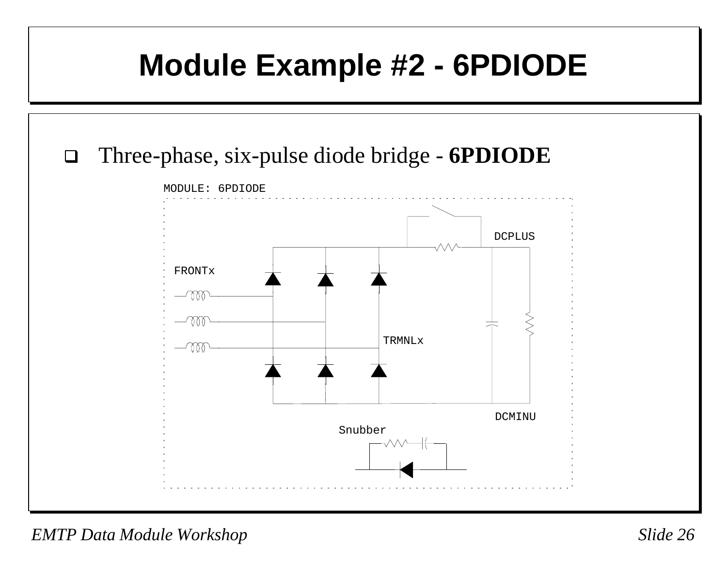#### **Module Example #2 - 6PDIODE**



*EMTP Data Module Workshop Slide 26*